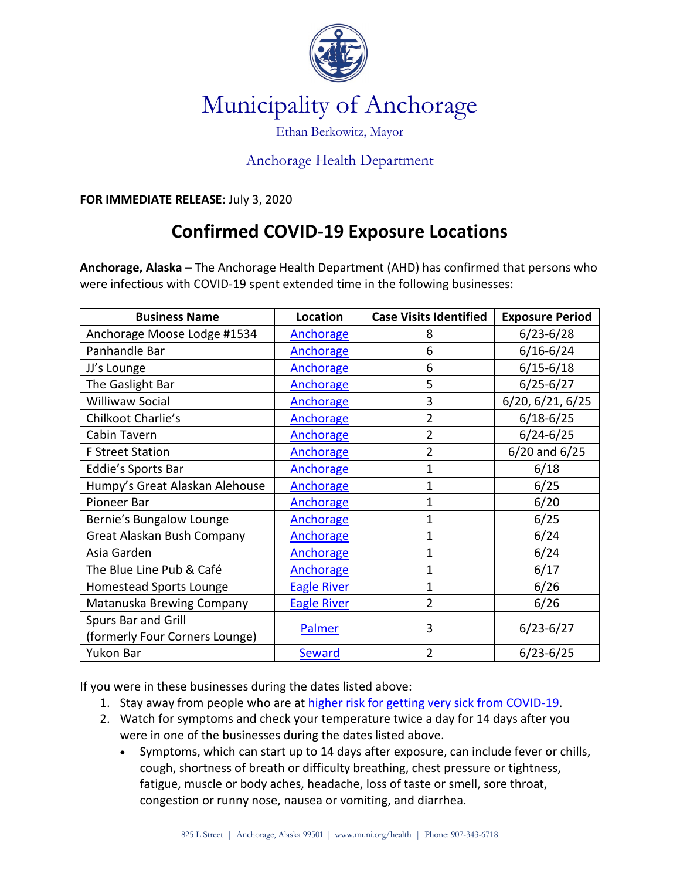

## Municipality of Anchorage

## Ethan Berkowitz, Mayor

## Anchorage Health Department

**FOR IMMEDIATE RELEASE:** July 3, 2020

## **Confirmed COVID-19 Exposure Locations**

**Anchorage, Alaska –** The Anchorage Health Department (AHD) has confirmed that persons who were infectious with COVID-19 spent extended time in the following businesses:

| <b>Business Name</b>           | <b>Location</b>    | <b>Case Visits Identified</b> | <b>Exposure Period</b> |
|--------------------------------|--------------------|-------------------------------|------------------------|
| Anchorage Moose Lodge #1534    | Anchorage          | 8                             | $6/23 - 6/28$          |
| Panhandle Bar                  | Anchorage          | 6                             | $6/16 - 6/24$          |
| JJ's Lounge                    | <b>Anchorage</b>   | 6                             | $6/15 - 6/18$          |
| The Gaslight Bar               | <b>Anchorage</b>   | 5                             | $6/25 - 6/27$          |
| <b>Williwaw Social</b>         | Anchorage          | 3                             | 6/20, 6/21, 6/25       |
| Chilkoot Charlie's             | Anchorage          | $\overline{2}$                | $6/18 - 6/25$          |
| Cabin Tavern                   | Anchorage          | $\overline{2}$                | $6/24 - 6/25$          |
| <b>F Street Station</b>        | Anchorage          | $\overline{2}$                | $6/20$ and $6/25$      |
| Eddie's Sports Bar             | Anchorage          | 1                             | 6/18                   |
| Humpy's Great Alaskan Alehouse | Anchorage          | $\mathbf 1$                   | 6/25                   |
| Pioneer Bar                    | Anchorage          | $\mathbf 1$                   | 6/20                   |
| Bernie's Bungalow Lounge       | <b>Anchorage</b>   | 1                             | 6/25                   |
| Great Alaskan Bush Company     | Anchorage          | $\mathbf 1$                   | 6/24                   |
| Asia Garden                    | Anchorage          | $\mathbf 1$                   | 6/24                   |
| The Blue Line Pub & Café       | Anchorage          | $\mathbf 1$                   | 6/17                   |
| Homestead Sports Lounge        | <b>Eagle River</b> | 1                             | 6/26                   |
| Matanuska Brewing Company      | <b>Eagle River</b> | $\overline{2}$                | 6/26                   |
| Spurs Bar and Grill            | Palmer             | 3                             | $6/23 - 6/27$          |
| (formerly Four Corners Lounge) |                    |                               |                        |
| Yukon Bar                      | <b>Seward</b>      | $\overline{2}$                | $6/23 - 6/25$          |

If you were in these businesses during the dates listed above:

- 1. Stay away from people who are at[higher risk for getting very sick from COVID](https://www.cdc.gov/coronavirus/2019-ncov/need-extra-precautions/people-at-increased-risk.html)-19.
- 2. Watch for symptoms and check your temperature twice a day for 14 days after you were in one of the businesses during the dates listed above.
	- Symptoms, which can start up to 14 days after exposure, can include fever or chills, cough, shortness of breath or difficulty breathing, chest pressure or tightness, fatigue, muscle or body aches, headache, loss of taste or smell, sore throat, congestion or runny nose, nausea or vomiting, and diarrhea.